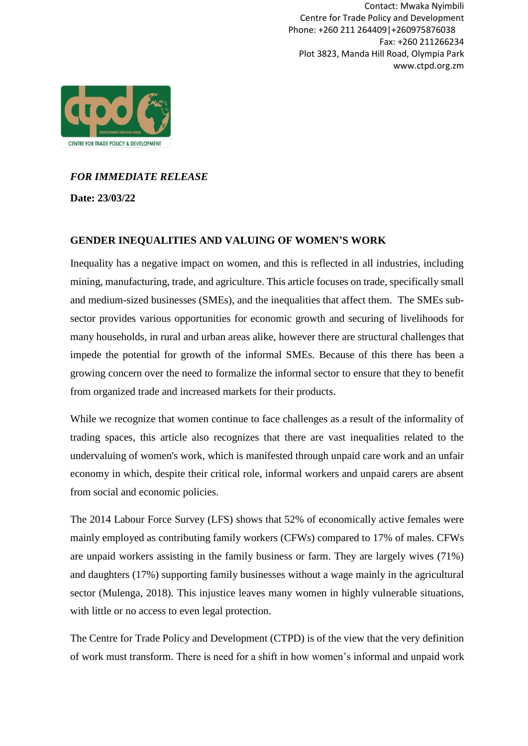Contact: Mwaka Nyimbili Centre for Trade Policy and Development Phone: +260 211 264409|+260975876038 Fax: +260 211266234 Plot 3823, Manda Hill Road, Olympia Park www.ctpd.org.zm



## *FOR IMMEDIATE RELEASE*

**Date: 23/03/22**

#### **GENDER INEQUALITIES AND VALUING OF WOMEN'S WORK**

Inequality has a negative impact on women, and this is reflected in all industries, including mining, manufacturing, trade, and agriculture. This article focuses on trade, specifically small and medium-sized businesses (SMEs), and the inequalities that affect them. The SMEs subsector provides various opportunities for economic growth and securing of livelihoods for many households, in rural and urban areas alike, however there are structural challenges that impede the potential for growth of the informal SMEs. Because of this there has been a growing concern over the need to formalize the informal sector to ensure that they to benefit from organized trade and increased markets for their products.

While we recognize that women continue to face challenges as a result of the informality of trading spaces, this article also recognizes that there are vast inequalities related to the undervaluing of women's work, which is manifested through unpaid care work and an unfair economy in which, despite their critical role, informal workers and unpaid carers are absent from social and economic policies.

The 2014 Labour Force Survey (LFS) shows that 52% of economically active females were mainly employed as contributing family workers (CFWs) compared to 17% of males. CFWs are unpaid workers assisting in the family business or farm. They are largely wives (71%) and daughters (17%) supporting family businesses without a wage mainly in the agricultural sector (Mulenga, 2018). This injustice leaves many women in highly vulnerable situations, with little or no access to even legal protection.

The Centre for Trade Policy and Development (CTPD) is of the view that the very definition of work must transform. There is need for a shift in how women's informal and unpaid work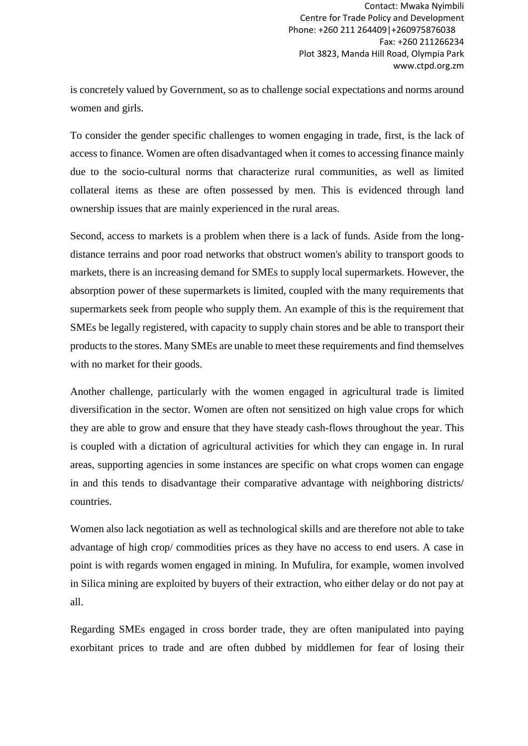Contact: Mwaka Nyimbili Centre for Trade Policy and Development Phone: +260 211 264409|+260975876038 Fax: +260 211266234 Plot 3823, Manda Hill Road, Olympia Park www.ctpd.org.zm

is concretely valued by Government, so as to challenge social expectations and norms around women and girls.

To consider the gender specific challenges to women engaging in trade, first, is the lack of access to finance. Women are often disadvantaged when it comes to accessing finance mainly due to the socio-cultural norms that characterize rural communities, as well as limited collateral items as these are often possessed by men. This is evidenced through land ownership issues that are mainly experienced in the rural areas.

Second, access to markets is a problem when there is a lack of funds. Aside from the longdistance terrains and poor road networks that obstruct women's ability to transport goods to markets, there is an increasing demand for SMEs to supply local supermarkets. However, the absorption power of these supermarkets is limited, coupled with the many requirements that supermarkets seek from people who supply them. An example of this is the requirement that SMEs be legally registered, with capacity to supply chain stores and be able to transport their products to the stores. Many SMEs are unable to meet these requirements and find themselves with no market for their goods.

Another challenge, particularly with the women engaged in agricultural trade is limited diversification in the sector. Women are often not sensitized on high value crops for which they are able to grow and ensure that they have steady cash-flows throughout the year. This is coupled with a dictation of agricultural activities for which they can engage in. In rural areas, supporting agencies in some instances are specific on what crops women can engage in and this tends to disadvantage their comparative advantage with neighboring districts/ countries.

Women also lack negotiation as well as technological skills and are therefore not able to take advantage of high crop/ commodities prices as they have no access to end users. A case in point is with regards women engaged in mining. In Mufulira, for example, women involved in Silica mining are exploited by buyers of their extraction, who either delay or do not pay at all.

Regarding SMEs engaged in cross border trade, they are often manipulated into paying exorbitant prices to trade and are often dubbed by middlemen for fear of losing their